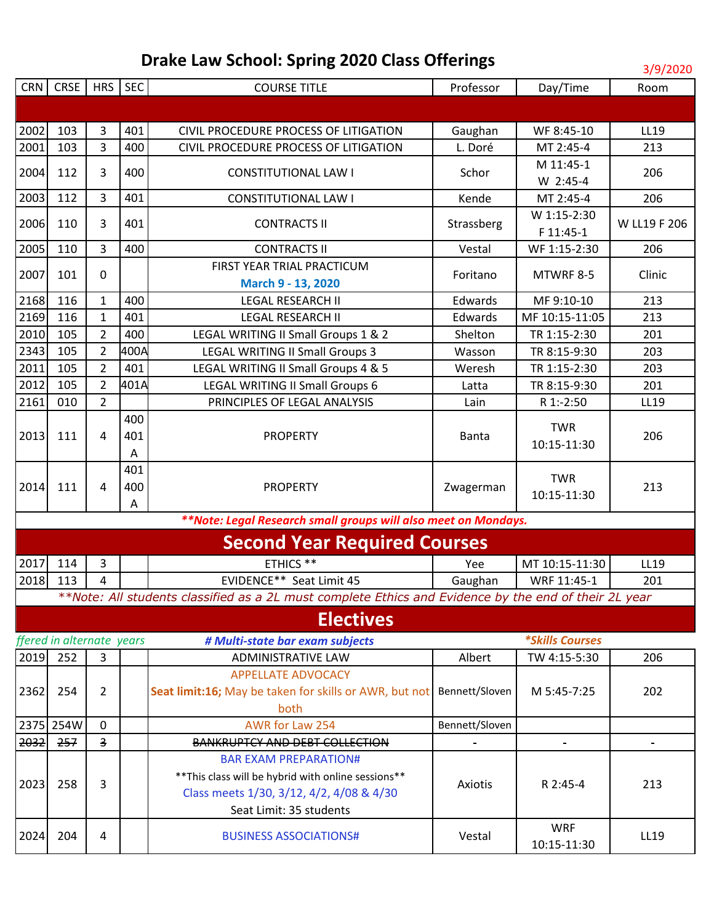| CRN  | <b>CRSE</b>               | HRS SEC                 |      | <b>COURSE TITLE</b>                                                                                   | Professor      | Day/Time                      | טגטגןכןכ<br>Room |
|------|---------------------------|-------------------------|------|-------------------------------------------------------------------------------------------------------|----------------|-------------------------------|------------------|
|      |                           |                         |      |                                                                                                       |                |                               |                  |
|      |                           |                         |      |                                                                                                       |                |                               |                  |
| 2002 | 103                       | 3                       | 401  | CIVIL PROCEDURE PROCESS OF LITIGATION                                                                 | Gaughan        | WF 8:45-10                    | LL19             |
| 2001 | 103                       | 3                       | 400  | CIVIL PROCEDURE PROCESS OF LITIGATION                                                                 | L. Doré        | MT 2:45-4                     | 213              |
| 2004 | 112                       | 3                       | 400  | <b>CONSTITUTIONAL LAW I</b>                                                                           | Schor          | M 11:45-1                     | 206              |
|      |                           |                         |      |                                                                                                       |                | W 2:45-4                      |                  |
| 2003 | 112                       | 3                       | 401  | <b>CONSTITUTIONAL LAW I</b>                                                                           | Kende          | MT 2:45-4                     | 206              |
| 2006 | 110                       | 3                       | 401  | <b>CONTRACTS II</b>                                                                                   | Strassberg     | W 1:15-2:30                   | W LL19 F 206     |
|      |                           |                         |      |                                                                                                       |                | F 11:45-1                     |                  |
| 2005 | 110                       | 3                       | 400  | <b>CONTRACTS II</b>                                                                                   | Vestal         | WF 1:15-2:30                  | 206              |
| 2007 | 101                       | 0                       |      | FIRST YEAR TRIAL PRACTICUM                                                                            | Foritano       | MTWRF 8-5                     | Clinic           |
|      |                           |                         |      | March 9 - 13, 2020                                                                                    |                |                               |                  |
| 2168 | 116                       | $\mathbf{1}$            | 400  | <b>LEGAL RESEARCH II</b>                                                                              | Edwards        | MF 9:10-10                    | 213              |
| 2169 | 116                       | 1                       | 401  | <b>LEGAL RESEARCH II</b>                                                                              | Edwards        | MF 10:15-11:05                | 213              |
| 2010 | 105                       | $\overline{2}$          | 400  | LEGAL WRITING II Small Groups 1 & 2                                                                   | Shelton        | TR 1:15-2:30                  | 201              |
| 2343 | 105                       | $\overline{2}$          | 400A | <b>LEGAL WRITING II Small Groups 3</b>                                                                | Wasson         | TR 8:15-9:30                  | 203              |
| 2011 | 105                       | $\overline{2}$          | 401  | LEGAL WRITING II Small Groups 4 & 5                                                                   | Weresh         | TR 1:15-2:30                  | 203              |
| 2012 | 105                       | $\overline{2}$          | 401A | <b>LEGAL WRITING II Small Groups 6</b>                                                                | Latta          | TR 8:15-9:30                  | 201              |
| 2161 | 010                       | $\overline{2}$          |      | PRINCIPLES OF LEGAL ANALYSIS                                                                          | Lain           | R 1:-2:50                     | LL19             |
|      |                           |                         | 400  |                                                                                                       |                | <b>TWR</b>                    |                  |
| 2013 | 111                       | 4                       | 401  | <b>PROPERTY</b>                                                                                       | <b>Banta</b>   | 10:15-11:30                   | 206              |
|      |                           |                         | Α    |                                                                                                       |                |                               |                  |
|      |                           |                         | 401  |                                                                                                       |                | <b>TWR</b>                    |                  |
| 2014 | 111                       | 4                       | 400  | <b>PROPERTY</b>                                                                                       | Zwagerman      | 10:15-11:30                   | 213              |
|      |                           |                         | Α    |                                                                                                       |                |                               |                  |
|      |                           |                         |      | **Note: Legal Research small groups will also meet on Mondays.                                        |                |                               |                  |
|      |                           |                         |      | <b>Second Year Required Courses</b>                                                                   |                |                               |                  |
| 2017 | 114                       | 3                       |      | ETHICS **                                                                                             | Yee            | MT 10:15-11:30                | LL19             |
| 2018 | 113                       | 4                       |      | EVIDENCE** Seat Limit 45                                                                              | Gaughan        | WRF 11:45-1                   | 201              |
|      |                           |                         |      | **Note: All students classified as a 2L must complete Ethics and Evidence by the end of their 2L year |                |                               |                  |
|      |                           |                         |      | <b>Electives</b>                                                                                      |                |                               |                  |
|      | ffered in alternate years |                         |      | # Multi-state bar exam subjects                                                                       |                | <i><b>*Skills Courses</b></i> |                  |
| 2019 | 252                       | 3                       |      | ADMINISTRATIVE LAW                                                                                    | Albert         | TW 4:15-5:30                  | 206              |
|      |                           |                         |      | <b>APPELLATE ADVOCACY</b>                                                                             |                |                               |                  |
| 2362 | 254                       | $\overline{2}$          |      | Seat limit:16; May be taken for skills or AWR, but not                                                | Bennett/Sloven | M 5:45-7:25                   | 202              |
|      |                           |                         |      | both                                                                                                  |                |                               |                  |
|      | 2375 254W                 | $\mathbf 0$             |      | AWR for Law 254                                                                                       | Bennett/Sloven |                               |                  |
| 2032 | 257                       | $\overline{\mathbf{3}}$ |      | BANKRUPTCY AND DEBT COLLECTION                                                                        |                |                               |                  |
|      |                           |                         |      | <b>BAR EXAM PREPARATION#</b>                                                                          |                |                               |                  |
|      |                           |                         |      | ** This class will be hybrid with online sessions**                                                   |                |                               |                  |
| 2023 | 258                       | 3                       |      | Class meets 1/30, 3/12, 4/2, 4/08 & 4/30                                                              | Axiotis        | R 2:45-4                      | 213              |
|      |                           |                         |      | Seat Limit: 35 students                                                                               |                |                               |                  |
|      |                           |                         |      |                                                                                                       |                | <b>WRF</b>                    |                  |
| 2024 | 204                       | 4                       |      | <b>BUSINESS ASSOCIATIONS#</b>                                                                         | Vestal         | 10:15-11:30                   | LL19             |
|      |                           |                         |      |                                                                                                       |                |                               |                  |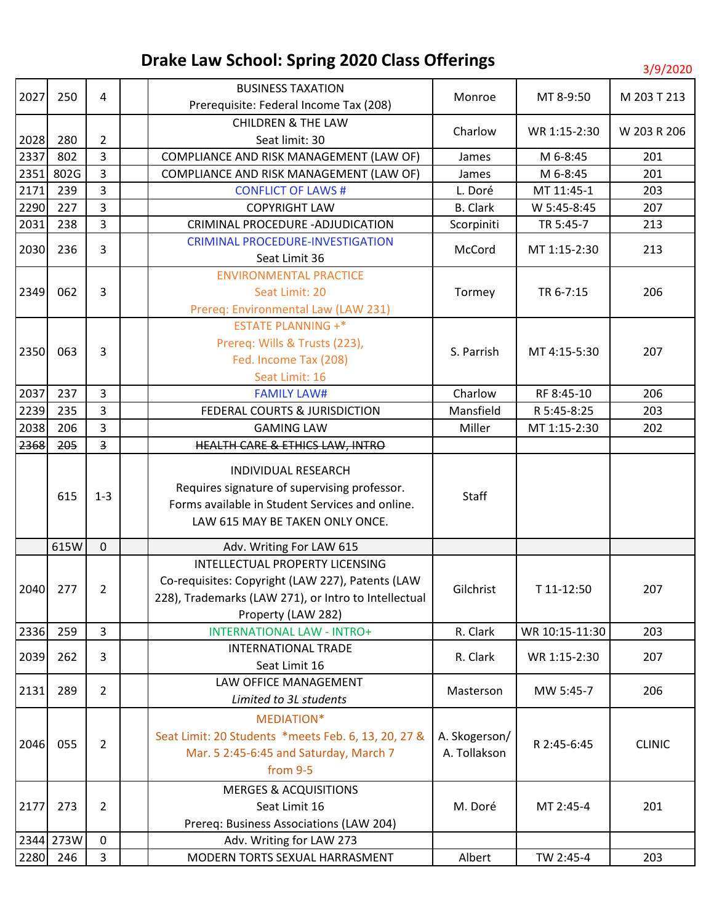| 2027 | 250       | 4                       |  | <b>BUSINESS TAXATION</b>                             |                 | MT 8-9:50      | M 203 T 213   |
|------|-----------|-------------------------|--|------------------------------------------------------|-----------------|----------------|---------------|
|      |           |                         |  | Prerequisite: Federal Income Tax (208)               | Monroe          |                |               |
|      |           |                         |  | <b>CHILDREN &amp; THE LAW</b>                        |                 |                |               |
| 2028 | 280       | $\overline{2}$          |  | Seat limit: 30                                       | Charlow         | WR 1:15-2:30   | W 203 R 206   |
| 2337 | 802       | 3                       |  | COMPLIANCE AND RISK MANAGEMENT (LAW OF)              | James           | M 6-8:45       | 201           |
| 2351 | 802G      | 3                       |  | COMPLIANCE AND RISK MANAGEMENT (LAW OF)              | James           | M 6-8:45       | 201           |
| 2171 | 239       | 3                       |  | <b>CONFLICT OF LAWS#</b>                             | L. Doré         | MT 11:45-1     | 203           |
| 2290 | 227       | 3                       |  | <b>COPYRIGHT LAW</b>                                 | <b>B.</b> Clark | W 5:45-8:45    | 207           |
| 2031 | 238       | $\overline{3}$          |  | CRIMINAL PROCEDURE - ADJUDICATION                    | Scorpiniti      | TR 5:45-7      | 213           |
| 2030 | 236       | 3                       |  | <b>CRIMINAL PROCEDURE-INVESTIGATION</b>              | McCord          | MT 1:15-2:30   | 213           |
|      |           |                         |  | Seat Limit 36                                        |                 |                |               |
|      |           |                         |  | <b>ENVIRONMENTAL PRACTICE</b>                        |                 |                |               |
| 2349 | 062       | 3                       |  | Seat Limit: 20                                       | Tormey          | TR 6-7:15      | 206           |
|      |           |                         |  | Prereq: Environmental Law (LAW 231)                  |                 |                |               |
|      |           |                         |  | <b>ESTATE PLANNING +*</b>                            |                 |                |               |
| 2350 | 063       | 3                       |  | Prereq: Wills & Trusts (223),                        | S. Parrish      | MT 4:15-5:30   | 207           |
|      |           |                         |  | Fed. Income Tax (208)                                |                 |                |               |
|      |           |                         |  | Seat Limit: 16                                       |                 |                |               |
| 2037 | 237       | $\overline{3}$          |  | <b>FAMILY LAW#</b>                                   | Charlow         | RF 8:45-10     | 206           |
| 2239 | 235       | 3                       |  | FEDERAL COURTS & JURISDICTION                        | Mansfield       | R 5:45-8:25    | 203           |
| 2038 | 206       | 3                       |  | <b>GAMING LAW</b>                                    | Miller          | MT 1:15-2:30   | 202           |
| 2368 | 205       | $\overline{\mathbf{3}}$ |  | HEALTH CARE & ETHICS LAW, INTRO                      |                 |                |               |
|      |           |                         |  | INDIVIDUAL RESEARCH                                  |                 |                |               |
|      |           | $1 - 3$                 |  | Requires signature of supervising professor.         | Staff           |                |               |
|      | 615       |                         |  | Forms available in Student Services and online.      |                 |                |               |
|      |           |                         |  | LAW 615 MAY BE TAKEN ONLY ONCE.                      |                 |                |               |
|      |           |                         |  |                                                      |                 |                |               |
|      | 615W      | $\mathbf 0$             |  | Adv. Writing For LAW 615                             |                 |                |               |
|      |           |                         |  | INTELLECTUAL PROPERTY LICENSING                      |                 |                |               |
| 2040 | 277       | $\overline{2}$          |  | Co-requisites: Copyright (LAW 227), Patents (LAW     | Gilchrist       | T 11-12:50     | 207           |
|      |           |                         |  | 228), Trademarks (LAW 271), or Intro to Intellectual |                 |                |               |
|      |           |                         |  | Property (LAW 282)                                   |                 |                |               |
| 2336 | 259       | $\overline{3}$          |  | <b>INTERNATIONAL LAW - INTRO+</b>                    | R. Clark        | WR 10:15-11:30 | 203           |
| 2039 | 262       | 3                       |  | <b>INTERNATIONAL TRADE</b>                           | R. Clark        | WR 1:15-2:30   | 207           |
|      |           |                         |  | Seat Limit 16                                        |                 |                |               |
| 2131 | 289       | $\overline{2}$          |  | LAW OFFICE MANAGEMENT                                | Masterson       | MW 5:45-7      | 206           |
|      |           |                         |  | Limited to 3L students                               |                 |                |               |
|      |           |                         |  | MEDIATION*                                           |                 |                |               |
| 2046 | 055       | $\overline{2}$          |  | Seat Limit: 20 Students *meets Feb. 6, 13, 20, 27 &  | A. Skogerson/   | R 2:45-6:45    | <b>CLINIC</b> |
|      |           |                         |  | Mar. 5 2:45-6:45 and Saturday, March 7               | A. Tollakson    |                |               |
|      |           |                         |  | from 9-5                                             |                 |                |               |
|      |           |                         |  | <b>MERGES &amp; ACQUISITIONS</b>                     |                 |                |               |
| 2177 | 273       | $\overline{2}$          |  | Seat Limit 16                                        | M. Doré         | MT 2:45-4      | 201           |
|      |           |                         |  | Prereq: Business Associations (LAW 204)              |                 |                |               |
|      | 2344 273W | $\mathbf 0$             |  | Adv. Writing for LAW 273                             |                 |                |               |
| 2280 | 246       | $\mathbf{3}$            |  | MODERN TORTS SEXUAL HARRASMENT                       | Albert          | TW 2:45-4      | 203           |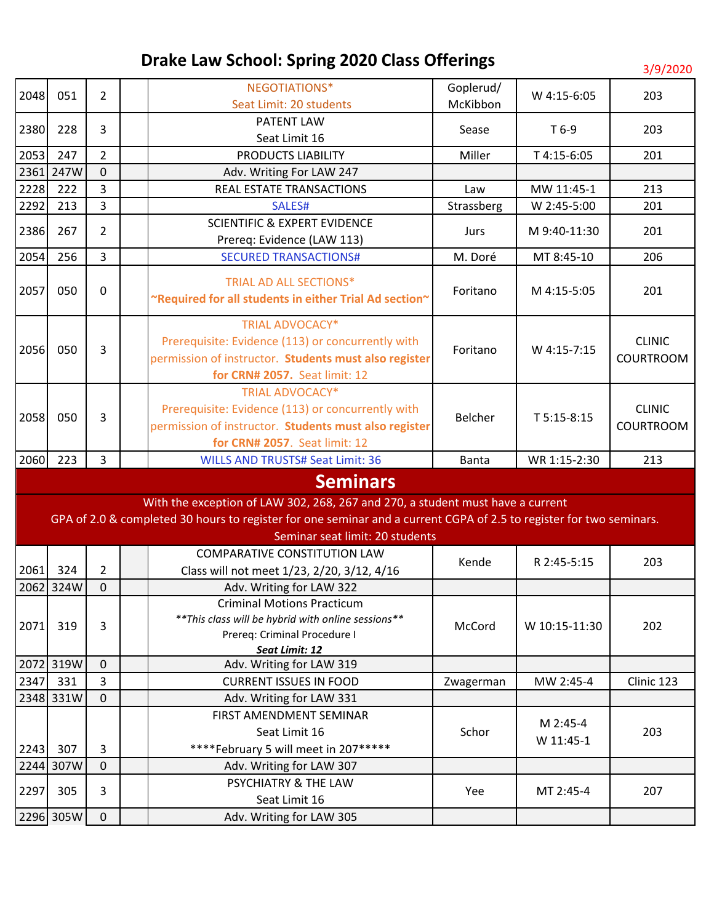| 2048 | 051       | $\overline{2}$ | NEGOTIATIONS*                                                                                                       | Goplerud/  | W 4:15-6:05   | 203                     |          |  |  |
|------|-----------|----------------|---------------------------------------------------------------------------------------------------------------------|------------|---------------|-------------------------|----------|--|--|
|      |           |                |                                                                                                                     |            |               | Seat Limit: 20 students | McKibbon |  |  |
| 2380 | 228       | $\overline{3}$ | PATENT LAW                                                                                                          | Sease      | $T6-9$        | 203                     |          |  |  |
|      |           |                | Seat Limit 16                                                                                                       |            |               |                         |          |  |  |
| 2053 | 247       | $\overline{2}$ | PRODUCTS LIABILITY                                                                                                  | Miller     | T 4:15-6:05   | 201                     |          |  |  |
| 2361 | 247W      | $\mathbf 0$    | Adv. Writing For LAW 247                                                                                            |            |               |                         |          |  |  |
| 2228 | 222       | 3              | REAL ESTATE TRANSACTIONS                                                                                            | Law        | MW 11:45-1    | 213                     |          |  |  |
| 2292 | 213       | 3              | SALES#                                                                                                              | Strassberg | W 2:45-5:00   | 201                     |          |  |  |
| 2386 | 267       | $\overline{2}$ | <b>SCIENTIFIC &amp; EXPERT EVIDENCE</b>                                                                             | Jurs       | M 9:40-11:30  | 201                     |          |  |  |
|      |           |                | Prereq: Evidence (LAW 113)                                                                                          |            |               |                         |          |  |  |
| 2054 | 256       | $\overline{3}$ | <b>SECURED TRANSACTIONS#</b>                                                                                        | M. Doré    | MT 8:45-10    | 206                     |          |  |  |
|      |           |                | <b>TRIAL AD ALL SECTIONS*</b>                                                                                       |            |               |                         |          |  |  |
| 2057 | 050       | 0              |                                                                                                                     | Foritano   | M 4:15-5:05   | 201                     |          |  |  |
|      |           |                | ~Required for all students in either Trial Ad section~                                                              |            |               |                         |          |  |  |
|      |           |                | <b>TRIAL ADVOCACY*</b>                                                                                              |            |               |                         |          |  |  |
|      |           |                | Prerequisite: Evidence (113) or concurrently with                                                                   |            | W 4:15-7:15   | <b>CLINIC</b>           |          |  |  |
| 2056 | 050       | 3              | permission of instructor. Students must also register                                                               | Foritano   |               | COURTROOM               |          |  |  |
|      |           |                | for CRN# 2057. Seat limit: 12                                                                                       |            |               |                         |          |  |  |
|      |           |                | <b>TRIAL ADVOCACY*</b>                                                                                              |            |               |                         |          |  |  |
|      |           | 3              | Prerequisite: Evidence (113) or concurrently with                                                                   |            | T 5:15-8:15   | <b>CLINIC</b>           |          |  |  |
| 2058 | 050       |                | permission of instructor. Students must also register                                                               | Belcher    |               | <b>COURTROOM</b>        |          |  |  |
|      |           |                | for CRN# 2057. Seat limit: 12                                                                                       |            |               |                         |          |  |  |
|      |           |                |                                                                                                                     |            |               |                         |          |  |  |
|      |           |                |                                                                                                                     |            |               |                         |          |  |  |
| 2060 | 223       | $\overline{3}$ | <b>WILLS AND TRUSTS# Seat Limit: 36</b>                                                                             | Banta      | WR 1:15-2:30  | 213                     |          |  |  |
|      |           |                | <b>Seminars</b>                                                                                                     |            |               |                         |          |  |  |
|      |           |                | With the exception of LAW 302, 268, 267 and 270, a student must have a current                                      |            |               |                         |          |  |  |
|      |           |                | GPA of 2.0 & completed 30 hours to register for one seminar and a current CGPA of 2.5 to register for two seminars. |            |               |                         |          |  |  |
|      |           |                | Seminar seat limit: 20 students                                                                                     |            |               |                         |          |  |  |
|      |           |                | <b>COMPARATIVE CONSTITUTION LAW</b>                                                                                 |            |               |                         |          |  |  |
| 2061 | 324       | $\overline{2}$ |                                                                                                                     | Kende      | R 2:45-5:15   | 203                     |          |  |  |
|      | 2062 324W | $\mathbf 0$    | Class will not meet 1/23, 2/20, 3/12, 4/16                                                                          |            |               |                         |          |  |  |
|      |           |                | Adv. Writing for LAW 322<br><b>Criminal Motions Practicum</b>                                                       |            |               |                         |          |  |  |
|      |           |                |                                                                                                                     |            |               |                         |          |  |  |
| 2071 | 319       | 3              | ** This class will be hybrid with online sessions**                                                                 | McCord     | W 10:15-11:30 | 202                     |          |  |  |
|      |           |                | Prereq: Criminal Procedure I<br>Seat Limit: 12                                                                      |            |               |                         |          |  |  |
|      | 2072 319W | $\mathbf 0$    | Adv. Writing for LAW 319                                                                                            |            |               |                         |          |  |  |
| 2347 | 331       | 3              | <b>CURRENT ISSUES IN FOOD</b>                                                                                       | Zwagerman  | MW 2:45-4     | Clinic 123              |          |  |  |
|      | 2348 331W | $\mathbf 0$    | Adv. Writing for LAW 331                                                                                            |            |               |                         |          |  |  |
|      |           |                | FIRST AMENDMENT SEMINAR                                                                                             |            |               |                         |          |  |  |
|      |           |                | Seat Limit 16                                                                                                       | Schor      | M 2:45-4      | 203                     |          |  |  |
| 2243 | 307       | 3              |                                                                                                                     |            | W 11:45-1     |                         |          |  |  |
|      |           | $\mathbf 0$    | ****February 5 will meet in 207*****                                                                                |            |               |                         |          |  |  |
|      | 2244 307W |                | Adv. Writing for LAW 307                                                                                            |            |               |                         |          |  |  |
| 2297 | 305       | 3              | PSYCHIATRY & THE LAW<br>Seat Limit 16                                                                               | Yee        | MT 2:45-4     | 207                     |          |  |  |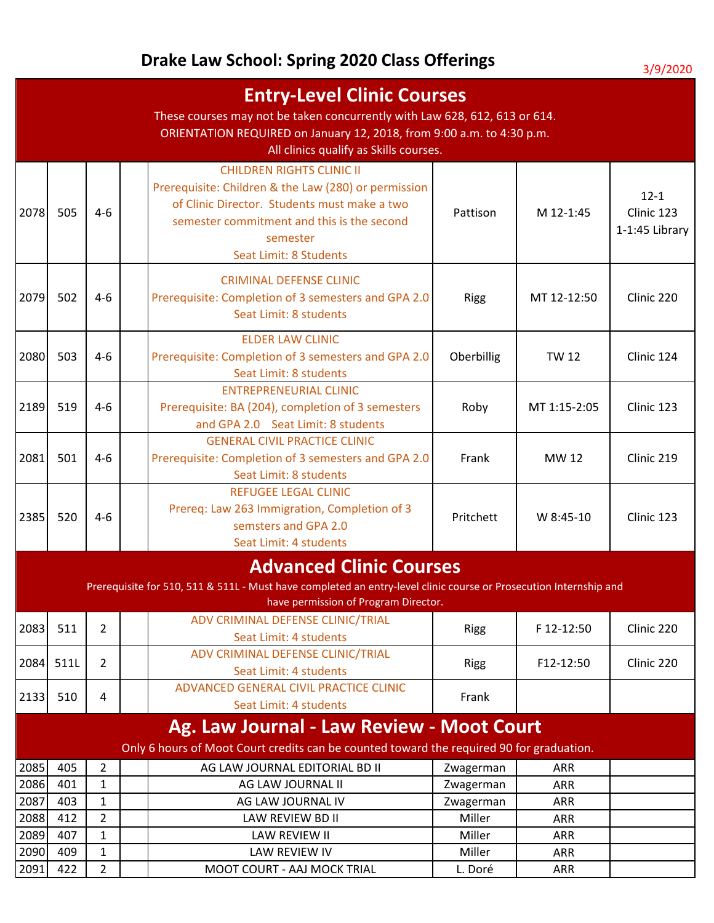|              | <b>Entry-Level Clinic Courses</b><br>These courses may not be taken concurrently with Law 628, 612, 613 or 614.<br>ORIENTATION REQUIRED on January 12, 2018, from 9:00 a.m. to 4:30 p.m.<br>All clinics qualify as Skills courses. |                              |  |                                                                                                                                                                                                                              |                        |                          |                                          |  |  |
|--------------|------------------------------------------------------------------------------------------------------------------------------------------------------------------------------------------------------------------------------------|------------------------------|--|------------------------------------------------------------------------------------------------------------------------------------------------------------------------------------------------------------------------------|------------------------|--------------------------|------------------------------------------|--|--|
| 2078         | 505                                                                                                                                                                                                                                | 4-6                          |  | <b>CHILDREN RIGHTS CLINIC II</b><br>Prerequisite: Children & the Law (280) or permission<br>of Clinic Director. Students must make a two<br>semester commitment and this is the second<br>semester<br>Seat Limit: 8 Students | Pattison               | M 12-1:45                | $12 - 1$<br>Clinic 123<br>1-1:45 Library |  |  |
| 2079         | 502                                                                                                                                                                                                                                | $4 - 6$                      |  | <b>CRIMINAL DEFENSE CLINIC</b><br>Prerequisite: Completion of 3 semesters and GPA 2.0<br>Seat Limit: 8 students                                                                                                              | <b>Rigg</b>            | MT 12-12:50              | Clinic 220                               |  |  |
| 2080         | 503                                                                                                                                                                                                                                | $4 - 6$                      |  | <b>ELDER LAW CLINIC</b><br>Prerequisite: Completion of 3 semesters and GPA 2.0<br>Seat Limit: 8 students                                                                                                                     | Oberbillig             | <b>TW 12</b>             | Clinic 124                               |  |  |
| 2189         | 519                                                                                                                                                                                                                                | $4 - 6$                      |  | <b>ENTREPRENEURIAL CLINIC</b><br>Prerequisite: BA (204), completion of 3 semesters<br>and GPA 2.0 Seat Limit: 8 students                                                                                                     | Roby                   | MT 1:15-2:05             | Clinic 123                               |  |  |
| 2081         | 501                                                                                                                                                                                                                                | $4 - 6$                      |  | <b>GENERAL CIVIL PRACTICE CLINIC</b><br>Prerequisite: Completion of 3 semesters and GPA 2.0<br>Seat Limit: 8 students                                                                                                        | Frank                  | MW 12                    | Clinic 219                               |  |  |
| 2385         | 520                                                                                                                                                                                                                                | $4 - 6$                      |  | <b>REFUGEE LEGAL CLINIC</b><br>Prereq: Law 263 Immigration, Completion of 3<br>semsters and GPA 2.0<br>Seat Limit: 4 students                                                                                                | Pritchett              | W 8:45-10                | Clinic 123                               |  |  |
|              |                                                                                                                                                                                                                                    |                              |  | <b>Advanced Clinic Courses</b>                                                                                                                                                                                               |                        |                          |                                          |  |  |
|              |                                                                                                                                                                                                                                    |                              |  | Prerequisite for 510, 511 & 511L - Must have completed an entry-level clinic course or Prosecution Internship and<br>have permission of Program Director.                                                                    |                        |                          |                                          |  |  |
| 2083         | 511                                                                                                                                                                                                                                | $\overline{2}$               |  | ADV CRIMINAL DEFENSE CLINIC/TRIAL<br>Seat Limit: 4 students                                                                                                                                                                  | <b>Rigg</b>            | F 12-12:50               | Clinic 220                               |  |  |
| 2084         | 511L                                                                                                                                                                                                                               | $\overline{2}$               |  | ADV CRIMINAL DEFENSE CLINIC/TRIAL<br>Seat Limit: 4 students                                                                                                                                                                  | <b>Rigg</b>            | F12-12:50                | Clinic 220                               |  |  |
| 2133         | 510                                                                                                                                                                                                                                | 4                            |  | ADVANCED GENERAL CIVIL PRACTICE CLINIC<br>Seat Limit: 4 students                                                                                                                                                             | Frank                  |                          |                                          |  |  |
|              |                                                                                                                                                                                                                                    |                              |  | Ag. Law Journal - Law Review - Moot Court                                                                                                                                                                                    |                        |                          |                                          |  |  |
|              |                                                                                                                                                                                                                                    |                              |  | Only 6 hours of Moot Court credits can be counted toward the required 90 for graduation.                                                                                                                                     |                        |                          |                                          |  |  |
| 2085         | 405                                                                                                                                                                                                                                | $\overline{2}$               |  | AG LAW JOURNAL EDITORIAL BD II                                                                                                                                                                                               | Zwagerman              | <b>ARR</b>               |                                          |  |  |
| 2086<br>2087 | 401<br>403                                                                                                                                                                                                                         | $\mathbf{1}$<br>$\mathbf{1}$ |  | AG LAW JOURNAL II<br>AG LAW JOURNAL IV                                                                                                                                                                                       | Zwagerman<br>Zwagerman | <b>ARR</b><br><b>ARR</b> |                                          |  |  |
| 2088         | 412                                                                                                                                                                                                                                | $\overline{2}$               |  | LAW REVIEW BD II                                                                                                                                                                                                             | Miller                 | ARR                      |                                          |  |  |
| 2089         | 407                                                                                                                                                                                                                                | $\mathbf{1}$                 |  | LAW REVIEW II                                                                                                                                                                                                                | Miller                 | ARR                      |                                          |  |  |
| 2090         | 409                                                                                                                                                                                                                                | $\mathbf{1}$                 |  | <b>LAW REVIEW IV</b>                                                                                                                                                                                                         | Miller                 | <b>ARR</b>               |                                          |  |  |
| 2091         | 422                                                                                                                                                                                                                                | $\overline{2}$               |  | MOOT COURT - AAJ MOCK TRIAL                                                                                                                                                                                                  | L. Doré                | ARR                      |                                          |  |  |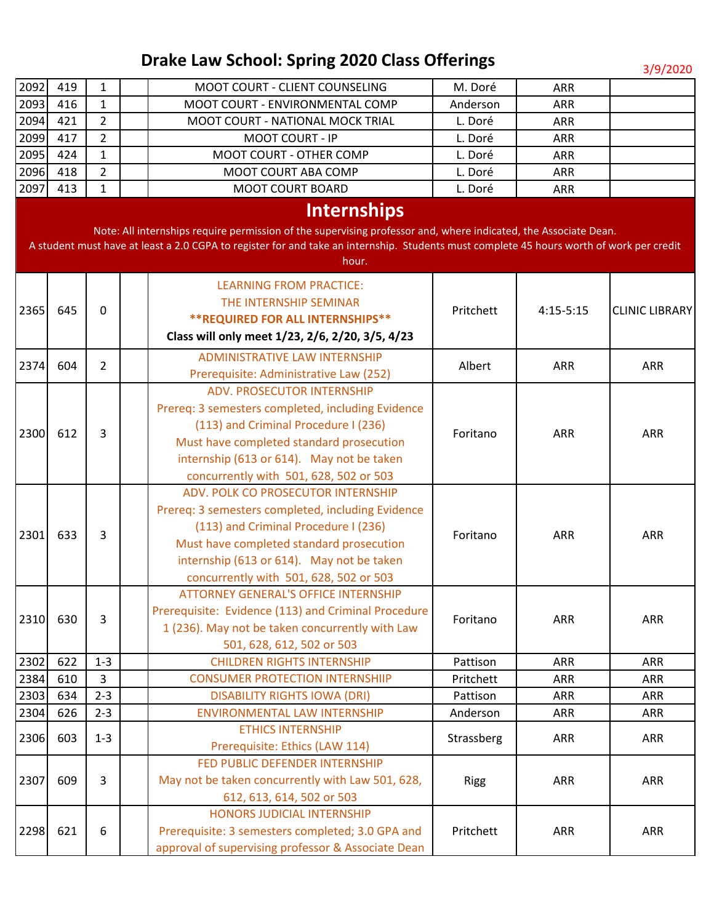| 2092 | 419 | 1              |  | MOOT COURT - CLIENT COUNSELING                                                                                                           | M. Doré                              | <b>ARR</b>                                        |                                      |                                                 |          |                                          |            |                                           |            |
|------|-----|----------------|--|------------------------------------------------------------------------------------------------------------------------------------------|--------------------------------------|---------------------------------------------------|--------------------------------------|-------------------------------------------------|----------|------------------------------------------|------------|-------------------------------------------|------------|
| 2093 | 416 | $\mathbf{1}$   |  | MOOT COURT - ENVIRONMENTAL COMP                                                                                                          | Anderson                             | <b>ARR</b>                                        |                                      |                                                 |          |                                          |            |                                           |            |
| 2094 | 421 | $\overline{2}$ |  | MOOT COURT - NATIONAL MOCK TRIAL                                                                                                         | L. Doré                              | ARR                                               |                                      |                                                 |          |                                          |            |                                           |            |
| 2099 | 417 | $\overline{2}$ |  | MOOT COURT - IP                                                                                                                          | L. Doré                              | <b>ARR</b>                                        |                                      |                                                 |          |                                          |            |                                           |            |
| 2095 | 424 | $\mathbf{1}$   |  | MOOT COURT - OTHER COMP                                                                                                                  | L. Doré                              | <b>ARR</b>                                        |                                      |                                                 |          |                                          |            |                                           |            |
| 2096 | 418 | $\overline{2}$ |  | MOOT COURT ABA COMP                                                                                                                      | L. Doré                              | <b>ARR</b>                                        |                                      |                                                 |          |                                          |            |                                           |            |
| 2097 | 413 | $\mathbf{1}$   |  | <b>MOOT COURT BOARD</b>                                                                                                                  | L. Doré                              | <b>ARR</b>                                        |                                      |                                                 |          |                                          |            |                                           |            |
|      |     |                |  | <b>Internships</b>                                                                                                                       |                                      |                                                   |                                      |                                                 |          |                                          |            |                                           |            |
|      |     |                |  | Note: All internships require permission of the supervising professor and, where indicated, the Associate Dean.                          |                                      |                                                   |                                      |                                                 |          |                                          |            |                                           |            |
|      |     |                |  | A student must have at least a 2.0 CGPA to register for and take an internship. Students must complete 45 hours worth of work per credit |                                      |                                                   |                                      |                                                 |          |                                          |            |                                           |            |
|      |     |                |  | hour.                                                                                                                                    |                                      |                                                   |                                      |                                                 |          |                                          |            |                                           |            |
|      |     |                |  |                                                                                                                                          |                                      |                                                   |                                      |                                                 |          |                                          |            |                                           |            |
|      |     |                |  | <b>LEARNING FROM PRACTICE:</b>                                                                                                           |                                      |                                                   |                                      |                                                 |          |                                          |            |                                           |            |
| 2365 | 645 | $\mathbf{0}$   |  | THE INTERNSHIP SEMINAR                                                                                                                   | Pritchett                            | $4:15-5:15$                                       | <b>CLINIC LIBRARY</b>                |                                                 |          |                                          |            |                                           |            |
|      |     |                |  | <b>**REQUIRED FOR ALL INTERNSHIPS**</b>                                                                                                  |                                      |                                                   |                                      |                                                 |          |                                          |            |                                           |            |
|      |     |                |  | Class will only meet 1/23, 2/6, 2/20, 3/5, 4/23                                                                                          |                                      |                                                   |                                      |                                                 |          |                                          |            |                                           |            |
| 2374 | 604 | $\overline{2}$ |  | <b>ADMINISTRATIVE LAW INTERNSHIP</b>                                                                                                     | Albert                               | <b>ARR</b>                                        | <b>ARR</b>                           |                                                 |          |                                          |            |                                           |            |
|      |     |                |  | Prerequisite: Administrative Law (252)                                                                                                   |                                      |                                                   |                                      |                                                 |          |                                          |            |                                           |            |
|      |     | 3              |  |                                                                                                                                          | ADV. PROSECUTOR INTERNSHIP           |                                                   |                                      |                                                 |          |                                          |            |                                           |            |
|      |     |                |  | Prereq: 3 semesters completed, including Evidence                                                                                        |                                      |                                                   |                                      |                                                 |          |                                          |            |                                           |            |
|      | 612 |                |  |                                                                                                                                          | (113) and Criminal Procedure I (236) |                                                   |                                      | <b>ARR</b>                                      |          |                                          |            |                                           |            |
| 2300 |     |                |  | Must have completed standard prosecution                                                                                                 | Foritano                             | <b>ARR</b>                                        |                                      |                                                 |          |                                          |            |                                           |            |
|      |     |                |  | internship (613 or 614). May not be taken                                                                                                |                                      |                                                   |                                      |                                                 |          |                                          |            |                                           |            |
|      |     |                |  | concurrently with 501, 628, 502 or 503                                                                                                   |                                      |                                                   |                                      |                                                 |          |                                          |            |                                           |            |
|      | 633 | 3              |  | ADV. POLK CO PROSECUTOR INTERNSHIP                                                                                                       |                                      |                                                   |                                      |                                                 |          |                                          |            |                                           |            |
|      |     |                |  |                                                                                                                                          |                                      | Prereq: 3 semesters completed, including Evidence |                                      |                                                 |          |                                          |            |                                           |            |
|      |     |                |  |                                                                                                                                          |                                      |                                                   | (113) and Criminal Procedure I (236) |                                                 |          |                                          |            |                                           |            |
| 2301 |     |                |  |                                                                                                                                          |                                      |                                                   |                                      |                                                 |          | Must have completed standard prosecution | Foritano   | <b>ARR</b>                                | <b>ARR</b> |
|      |     |                |  |                                                                                                                                          |                                      |                                                   |                                      |                                                 |          |                                          |            | internship (613 or 614). May not be taken |            |
|      |     |                |  | concurrently with 501, 628, 502 or 503                                                                                                   |                                      |                                                   |                                      |                                                 |          |                                          |            |                                           |            |
|      |     |                |  | <b>ATTORNEY GENERAL'S OFFICE INTERNSHIP</b>                                                                                              |                                      |                                                   |                                      |                                                 |          |                                          |            |                                           |            |
|      |     | 3              |  | Prerequisite: Evidence (113) and Criminal Procedure                                                                                      |                                      |                                                   |                                      |                                                 |          |                                          |            |                                           |            |
| 2310 | 630 |                |  |                                                                                                                                          |                                      |                                                   |                                      | 1 (236). May not be taken concurrently with Law | Foritano | <b>ARR</b>                               | <b>ARR</b> |                                           |            |
|      |     |                |  | 501, 628, 612, 502 or 503                                                                                                                |                                      |                                                   |                                      |                                                 |          |                                          |            |                                           |            |
| 2302 | 622 | $1 - 3$        |  | <b>CHILDREN RIGHTS INTERNSHIP</b>                                                                                                        | Pattison                             | <b>ARR</b>                                        | <b>ARR</b>                           |                                                 |          |                                          |            |                                           |            |
| 2384 | 610 | 3              |  | <b>CONSUMER PROTECTION INTERNSHIIP</b>                                                                                                   | Pritchett                            | <b>ARR</b>                                        | <b>ARR</b>                           |                                                 |          |                                          |            |                                           |            |
| 2303 | 634 | $2 - 3$        |  | <b>DISABILITY RIGHTS IOWA (DRI)</b>                                                                                                      | Pattison                             | <b>ARR</b>                                        | <b>ARR</b>                           |                                                 |          |                                          |            |                                           |            |
| 2304 | 626 | $2 - 3$        |  | ENVIRONMENTAL LAW INTERNSHIP                                                                                                             | Anderson                             | ARR                                               | <b>ARR</b>                           |                                                 |          |                                          |            |                                           |            |
|      |     |                |  | <b>ETHICS INTERNSHIP</b>                                                                                                                 |                                      |                                                   |                                      |                                                 |          |                                          |            |                                           |            |
| 2306 | 603 | $1 - 3$        |  | Prerequisite: Ethics (LAW 114)                                                                                                           | Strassberg                           | <b>ARR</b>                                        | <b>ARR</b>                           |                                                 |          |                                          |            |                                           |            |
|      |     |                |  | FED PUBLIC DEFENDER INTERNSHIP                                                                                                           |                                      |                                                   |                                      |                                                 |          |                                          |            |                                           |            |
| 2307 | 609 | 3              |  | May not be taken concurrently with Law 501, 628,                                                                                         | <b>Rigg</b>                          | <b>ARR</b>                                        | <b>ARR</b>                           |                                                 |          |                                          |            |                                           |            |
|      |     |                |  |                                                                                                                                          | 612, 613, 614, 502 or 503            |                                                   |                                      |                                                 |          |                                          |            |                                           |            |
|      |     |                |  | HONORS JUDICIAL INTERNSHIP                                                                                                               |                                      |                                                   |                                      |                                                 |          |                                          |            |                                           |            |
| 2298 | 621 | 6              |  | Prerequisite: 3 semesters completed; 3.0 GPA and                                                                                         | Pritchett                            | ARR                                               | <b>ARR</b>                           |                                                 |          |                                          |            |                                           |            |
|      |     |                |  | approval of supervising professor & Associate Dean                                                                                       |                                      |                                                   |                                      |                                                 |          |                                          |            |                                           |            |
|      |     |                |  |                                                                                                                                          |                                      |                                                   |                                      |                                                 |          |                                          |            |                                           |            |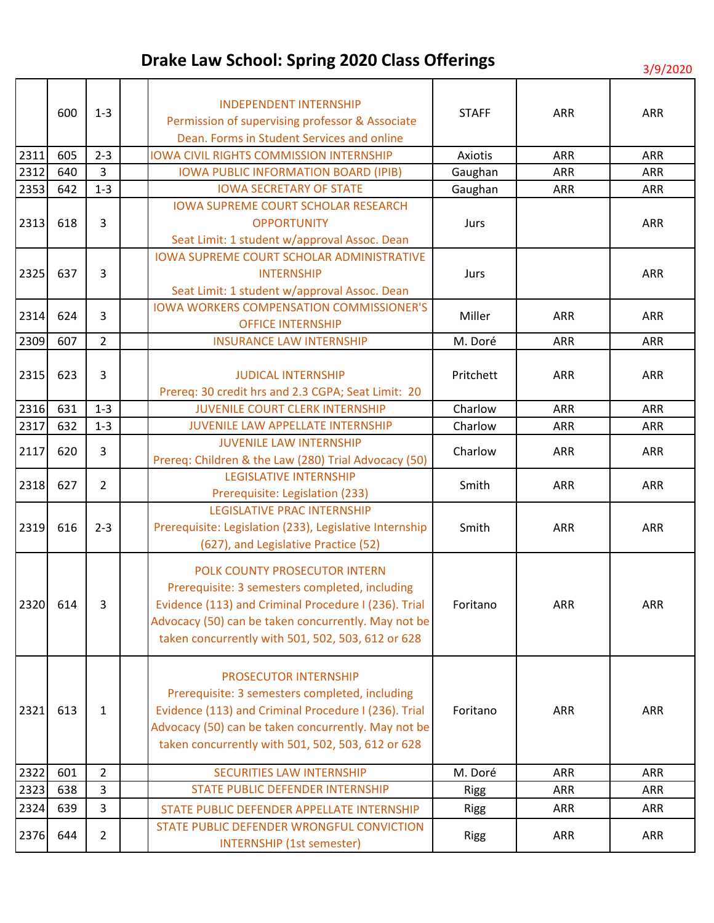| 2311<br>2312<br>2353<br>2313 | 600<br>605<br>640<br>642<br>618 | $1 - 3$<br>$2 - 3$<br>3<br>$1 - 3$<br>3 | <b>INDEPENDENT INTERNSHIP</b><br>Permission of supervising professor & Associate<br>Dean. Forms in Student Services and online<br><b>IOWA CIVIL RIGHTS COMMISSION INTERNSHIP</b><br><b>IOWA PUBLIC INFORMATION BOARD (IPIB)</b><br><b>IOWA SECRETARY OF STATE</b><br><b>IOWA SUPREME COURT SCHOLAR RESEARCH</b><br><b>OPPORTUNITY</b><br>Seat Limit: 1 student w/approval Assoc. Dean | <b>STAFF</b><br>Axiotis<br>Gaughan<br>Gaughan<br>Jurs | <b>ARR</b><br><b>ARR</b><br><b>ARR</b><br><b>ARR</b> | <b>ARR</b><br><b>ARR</b><br><b>ARR</b><br><b>ARR</b><br><b>ARR</b> |
|------------------------------|---------------------------------|-----------------------------------------|---------------------------------------------------------------------------------------------------------------------------------------------------------------------------------------------------------------------------------------------------------------------------------------------------------------------------------------------------------------------------------------|-------------------------------------------------------|------------------------------------------------------|--------------------------------------------------------------------|
| 2325                         | 637                             | 3                                       | <b>IOWA SUPREME COURT SCHOLAR ADMINISTRATIVE</b><br><b>INTERNSHIP</b><br>Seat Limit: 1 student w/approval Assoc. Dean                                                                                                                                                                                                                                                                 | Jurs                                                  |                                                      | <b>ARR</b>                                                         |
| 2314                         | 624                             | 3                                       | <b>IOWA WORKERS COMPENSATION COMMISSIONER'S</b><br><b>OFFICE INTERNSHIP</b>                                                                                                                                                                                                                                                                                                           | Miller                                                | <b>ARR</b>                                           | <b>ARR</b>                                                         |
| 2309                         | 607                             | $\overline{2}$                          | <b>INSURANCE LAW INTERNSHIP</b>                                                                                                                                                                                                                                                                                                                                                       | M. Doré                                               | <b>ARR</b>                                           | <b>ARR</b>                                                         |
| 2315                         | 623                             | 3                                       | <b>JUDICAL INTERNSHIP</b><br>Prereq: 30 credit hrs and 2.3 CGPA; Seat Limit: 20                                                                                                                                                                                                                                                                                                       | Pritchett                                             | <b>ARR</b>                                           | <b>ARR</b>                                                         |
| 2316                         | 631                             | $1 - 3$                                 | <b>JUVENILE COURT CLERK INTERNSHIP</b>                                                                                                                                                                                                                                                                                                                                                | Charlow                                               | <b>ARR</b>                                           | <b>ARR</b>                                                         |
| 2317                         | 632                             | $1 - 3$                                 | <b>JUVENILE LAW APPELLATE INTERNSHIP</b>                                                                                                                                                                                                                                                                                                                                              | Charlow                                               | <b>ARR</b>                                           | ARR                                                                |
| 2117                         | 620                             | 3                                       | <b>JUVENILE LAW INTERNSHIP</b><br>Prereq: Children & the Law (280) Trial Advocacy (50)                                                                                                                                                                                                                                                                                                | Charlow                                               | <b>ARR</b>                                           | <b>ARR</b>                                                         |
| 2318                         | 627                             | $\overline{2}$                          | <b>LEGISLATIVE INTERNSHIP</b><br>Prerequisite: Legislation (233)                                                                                                                                                                                                                                                                                                                      | Smith                                                 | <b>ARR</b>                                           | <b>ARR</b>                                                         |
| 2319                         | 616                             | $2 - 3$                                 | <b>LEGISLATIVE PRAC INTERNSHIP</b><br>Prerequisite: Legislation (233), Legislative Internship<br>(627), and Legislative Practice (52)                                                                                                                                                                                                                                                 | Smith                                                 | <b>ARR</b>                                           | <b>ARR</b>                                                         |
| 2320 614                     |                                 | 3                                       | POLK COUNTY PROSECUTOR INTERN<br>Prerequisite: 3 semesters completed, including<br>Evidence (113) and Criminal Procedure I (236). Trial<br>Advocacy (50) can be taken concurrently. May not be<br>taken concurrently with 501, 502, 503, 612 or 628                                                                                                                                   | Foritano                                              | ARR                                                  | ARR                                                                |
| 2321                         | 613                             | $\mathbf{1}$                            | <b>PROSECUTOR INTERNSHIP</b><br>Prerequisite: 3 semesters completed, including<br>Evidence (113) and Criminal Procedure I (236). Trial<br>Advocacy (50) can be taken concurrently. May not be<br>taken concurrently with 501, 502, 503, 612 or 628                                                                                                                                    | Foritano                                              | ARR                                                  | <b>ARR</b>                                                         |
| 2322                         | 601                             | $\overline{2}$                          | <b>SECURITIES LAW INTERNSHIP</b>                                                                                                                                                                                                                                                                                                                                                      | M. Doré                                               | <b>ARR</b>                                           | <b>ARR</b>                                                         |
| 2323                         | 638                             | 3                                       | <b>STATE PUBLIC DEFENDER INTERNSHIP</b>                                                                                                                                                                                                                                                                                                                                               | <b>Rigg</b>                                           | <b>ARR</b>                                           | <b>ARR</b>                                                         |
| 2324                         | 639                             | 3                                       | STATE PUBLIC DEFENDER APPELLATE INTERNSHIP                                                                                                                                                                                                                                                                                                                                            | <b>Rigg</b>                                           | <b>ARR</b>                                           | ARR                                                                |
| 2376                         | 644                             | $\overline{2}$                          | STATE PUBLIC DEFENDER WRONGFUL CONVICTION<br><b>INTERNSHIP (1st semester)</b>                                                                                                                                                                                                                                                                                                         | <b>Rigg</b>                                           | <b>ARR</b>                                           | <b>ARR</b>                                                         |